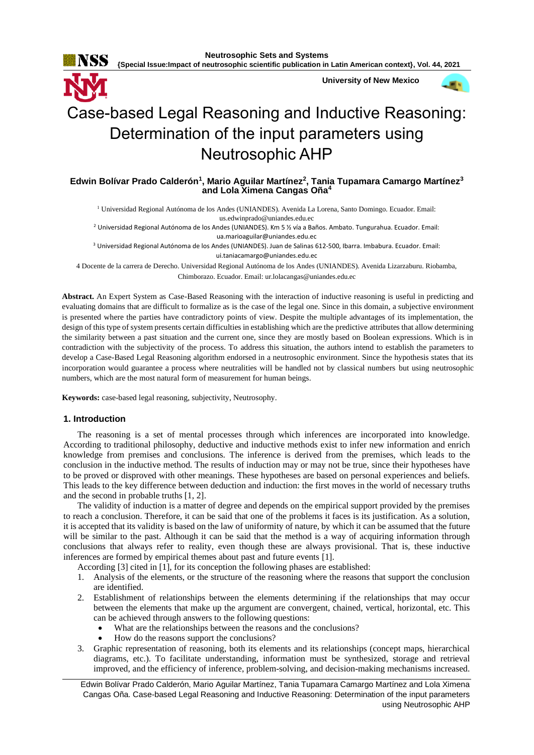

**{Special Issue:Impact of neutrosophic scientific publication in Latin American context}, Vol. 44, 2021**

**University of New Mexico**



# Case-based Legal Reasoning and Inductive Reasoning: Determination of the input parameters using Neutrosophic AHP

# **Edwin Bolívar Prado Calderón<sup>1</sup> , Mario Aguilar Martínez<sup>2</sup> , Tania Tupamara Camargo Martínez<sup>3</sup> and Lola Ximena Cangas Oña<sup>4</sup>**

<sup>1</sup> Universidad Regional Autónoma de los Andes (UNIANDES). Avenida La Lorena, Santo Domingo. Ecuador. Email: [us.edwinprado@uniandes.edu.ec](mailto:us.edwinprado@uniandes.edu.ec)

<sup>2</sup> Universidad Regional Autónoma de los Andes (UNIANDES). Km 5 ½ vía a Baños. Ambato. Tungurahua. Ecuador. Email: [ua.marioaguilar@uniandes.edu.ec](mailto:ua.marioaguilar@uniandes.edu.ec)

<sup>3</sup> Universidad Regional Autónoma de los Andes (UNIANDES). Juan de Salinas 612-500, Ibarra. Imbabura. Ecuador. Email: [ui.taniacamargo@uniandes.edu.ec](mailto:ui.taniacamargo@uniandes.edu.ec)

4 Docente de la carrera de Derecho. Universidad Regional Autónoma de los Andes (UNIANDES). Avenida Lizarzaburu. Riobamba, Chimborazo. Ecuador. Email: [ur.lolacangas@uniandes.edu.ec](mailto:ur.lolacangas@uniandes.edu.ec)

**Abstract.** An Expert System as Case-Based Reasoning with the interaction of inductive reasoning is useful in predicting and evaluating domains that are difficult to formalize as is the case of the legal one. Since in this domain, a subjective environment is presented where the parties have contradictory points of view. Despite the multiple advantages of its implementation, the design of this type of system presents certain difficulties in establishing which are the predictive attributes that allow determining the similarity between a past situation and the current one, since they are mostly based on Boolean expressions. Which is in contradiction with the subjectivity of the process. To address this situation, the authors intend to establish the parameters to develop a Case-Based Legal Reasoning algorithm endorsed in a neutrosophic environment. Since the hypothesis states that its incorporation would guarantee a process where neutralities will be handled not by classical numbers but using neutrosophic numbers, which are the most natural form of measurement for human beings.

**Keywords:** case-based legal reasoning, subjectivity, Neutrosophy.

#### **1. Introduction**

The reasoning is a set of mental processes through which inferences are incorporated into knowledge. According to traditional philosophy, deductive and inductive methods exist to infer new information and enrich knowledge from premises and conclusions. The inference is derived from the premises, which leads to the conclusion in the inductive method. The results of induction may or may not be true, since their hypotheses have to be proved or disproved with other meanings. These hypotheses are based on personal experiences and beliefs. This leads to the key difference between deduction and induction: the first moves in the world of necessary truths and the second in probable truths [\[1,](#page-8-0) [2\]](#page-8-1).

The validity of induction is a matter of degree and depends on the empirical support provided by the premises to reach a conclusion. Therefore, it can be said that one of the problems it faces is its justification. As a solution, it is accepted that its validity is based on the law of uniformity of nature, by which it can be assumed that the future will be similar to the past. Although it can be said that the method is a way of acquiring information through conclusions that always refer to reality, even though these are always provisional. That is, these inductive inferences are formed by empirical themes about past and future events [\[1\]](#page-8-0).

According [\[3\]](#page-8-2) cited in [\[1\]](#page-8-0), for its conception the following phases are established:

- 1. Analysis of the elements, or the structure of the reasoning where the reasons that support the conclusion are identified.
- 2. Establishment of relationships between the elements determining if the relationships that may occur between the elements that make up the argument are convergent, chained, vertical, horizontal, etc. This can be achieved through answers to the following questions:
	- What are the relationships between the reasons and the conclusions?
	- How do the reasons support the conclusions?
- 3. Graphic representation of reasoning, both its elements and its relationships (concept maps, hierarchical diagrams, etc.). To facilitate understanding, information must be synthesized, storage and retrieval improved, and the efficiency of inference, problem-solving, and decision-making mechanisms increased.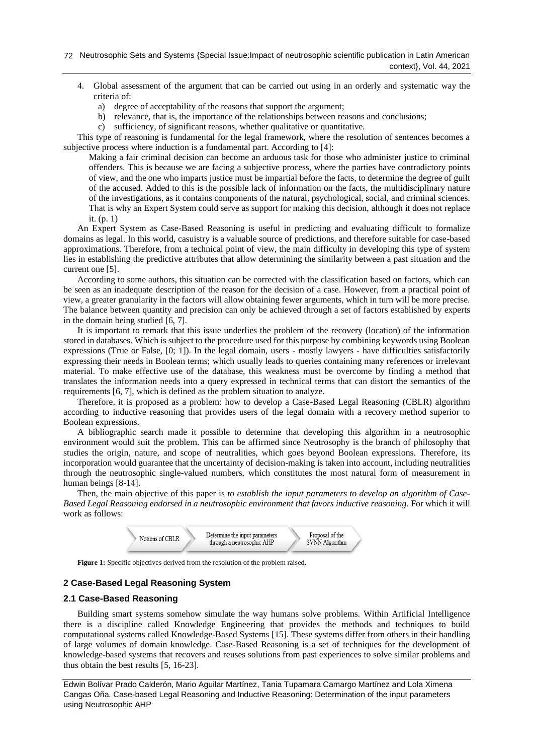- 4. Global assessment of the argument that can be carried out using in an orderly and systematic way the criteria of:
	- a) degree of acceptability of the reasons that support the argument;
	- b) relevance, that is, the importance of the relationships between reasons and conclusions;
	- c) sufficiency, of significant reasons, whether qualitative or quantitative.

This type of reasoning is fundamental for the legal framework, where the resolution of sentences becomes a subjective process where induction is a fundamental part. According to [\[4\]](#page-9-0):

Making a fair criminal decision can become an arduous task for those who administer justice to criminal offenders. This is because we are facing a subjective process, where the parties have contradictory points of view, and the one who imparts justice must be impartial before the facts, to determine the degree of guilt of the accused. Added to this is the possible lack of information on the facts, the multidisciplinary nature of the investigations, as it contains components of the natural, psychological, social, and criminal sciences. That is why an Expert System could serve as support for making this decision, although it does not replace it. (p. 1)

An Expert System as Case-Based Reasoning is useful in predicting and evaluating difficult to formalize domains as legal. In this world, casuistry is a valuable source of predictions, and therefore suitable for case-based approximations. Therefore, from a technical point of view, the main difficulty in developing this type of system lies in establishing the predictive attributes that allow determining the similarity between a past situation and the current one [\[5\]](#page-9-1).

According to some authors, this situation can be corrected with the classification based on factors, which can be seen as an inadequate description of the reason for the decision of a case. However, from a practical point of view, a greater granularity in the factors will allow obtaining fewer arguments, which in turn will be more precise. The balance between quantity and precision can only be achieved through a set of factors established by experts in the domain being studied [\[6,](#page-9-2) [7\]](#page-9-3).

It is important to remark that this issue underlies the problem of the recovery (location) of the information stored in databases. Which is subject to the procedure used for this purpose by combining keywords using Boolean expressions (True or False, [0; 1]). In the legal domain, users - mostly lawyers - have difficulties satisfactorily expressing their needs in Boolean terms; which usually leads to queries containing many references or irrelevant material. To make effective use of the database, this weakness must be overcome by finding a method that translates the information needs into a query expressed in technical terms that can distort the semantics of the requirements [\[6,](#page-9-2) [7\]](#page-9-3), which is defined as the problem situation to analyze.

Therefore, it is proposed as a problem: how to develop a Case-Based Legal Reasoning (CBLR) algorithm according to inductive reasoning that provides users of the legal domain with a recovery method superior to Boolean expressions.

A bibliographic search made it possible to determine that developing this algorithm in a neutrosophic environment would suit the problem. This can be affirmed since Neutrosophy is the branch of philosophy that studies the origin, nature, and scope of neutralities, which goes beyond Boolean expressions. Therefore, its incorporation would guarantee that the uncertainty of decision-making is taken into account, including neutralities through the neutrosophic single-valued numbers, which constitutes the most natural form of measurement in human beings [\[8-14\]](#page-9-4).

Then, the main objective of this paper is *to establish the input parameters to develop an algorithm of Case-Based Legal Reasoning endorsed in a neutrosophic environment that favors inductive reasoning*. For which it will work as follows:



**Figure 1:** Specific objectives derived from the resolution of the problem raised.

# **2 Case-Based Legal Reasoning System**

## **2.1 Case-Based Reasoning**

Building smart systems somehow simulate the way humans solve problems. Within Artificial Intelligence there is a discipline called Knowledge Engineering that provides the methods and techniques to build computational systems called Knowledge-Based Systems [\[15\]](#page-9-5). These systems differ from others in their handling of large volumes of domain knowledge. Case-Based Reasoning is a set of techniques for the development of knowledge-based systems that recovers and reuses solutions from past experiences to solve similar problems and thus obtain the best results [\[5,](#page-9-1) [16-23\]](#page-9-6).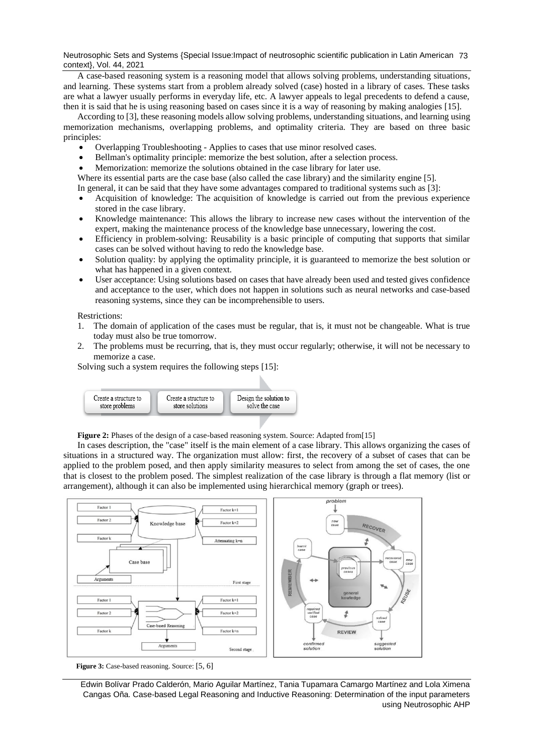Neutrosophic Sets and Systems {Special Issue:Impact of neutrosophic scientific publication in Latin American 73 context}, Vol. 44, 2021

A case-based reasoning system is a reasoning model that allows solving problems, understanding situations, and learning. These systems start from a problem already solved (case) hosted in a library of cases. These tasks are what a lawyer usually performs in everyday life, etc. A lawyer appeals to legal precedents to defend a cause, then it is said that he is using reasoning based on cases since it is a way of reasoning by making analogies [\[15\]](#page-9-5).

According to [3], these reasoning models allow solving problems, understanding situations, and learning using memorization mechanisms, overlapping problems, and optimality criteria. They are based on three basic principles:

- Overlapping Troubleshooting Applies to cases that use minor resolved cases.
- Bellman's optimality principle: memorize the best solution, after a selection process.
- Memorization: memorize the solutions obtained in the case library for later use.

Where its essential parts are the case base (also called the case library) and the similarity engine [\[5\]](#page-9-1).

In general, it can be said that they have some advantages compared to traditional systems such as [3]:

- Acquisition of knowledge: The acquisition of knowledge is carried out from the previous experience stored in the case library.
- Knowledge maintenance: This allows the library to increase new cases without the intervention of the expert, making the maintenance process of the knowledge base unnecessary, lowering the cost.
- Efficiency in problem-solving: Reusability is a basic principle of computing that supports that similar cases can be solved without having to redo the knowledge base.
- Solution quality: by applying the optimality principle, it is guaranteed to memorize the best solution or what has happened in a given context.
- User acceptance: Using solutions based on cases that have already been used and tested gives confidence and acceptance to the user, which does not happen in solutions such as neural networks and case-based reasoning systems, since they can be incomprehensible to users.

Restrictions:

- 1. The domain of application of the cases must be regular, that is, it must not be changeable. What is true today must also be true tomorrow.
- 2. The problems must be recurring, that is, they must occur regularly; otherwise, it will not be necessary to memorize a case.

Solving such a system requires the following steps [\[15\]](#page-9-5):



Figure 2: Phases of the design of a case-based reasoning system. Source: Adapted from[\[15\]](#page-9-5)

In cases description, the "case" itself is the main element of a case library. This allows organizing the cases of situations in a structured way. The organization must allow: first, the recovery of a subset of cases that can be applied to the problem posed, and then apply similarity measures to select from among the set of cases, the one that is closest to the problem posed. The simplest realization of the case library is through a flat memory (list or arrangement), although it can also be implemented using hierarchical memory (graph or trees).



**Figure 3:** Case-based reasoning. Source: [\[5,](#page-9-1) [6\]](#page-9-2)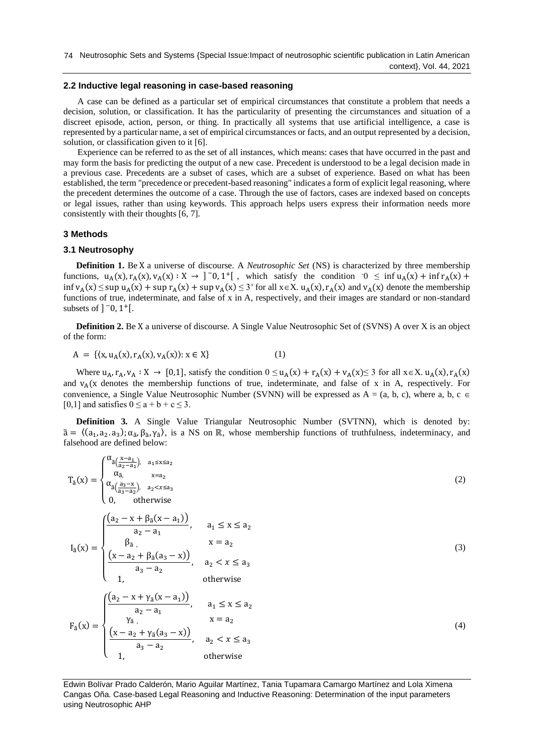## **2.2 Inductive legal reasoning in case-based reasoning**

A case can be defined as a particular set of empirical circumstances that constitute a problem that needs a decision, solution, or classification. It has the particularity of presenting the circumstances and situation of a discreet episode, action, person, or thing. In practically all systems that use artificial intelligence, a case is represented by a particular name, a set of empirical circumstances or facts, and an output represented by a decision, solution, or classification given to it [\[6\]](#page-9-2).

Experience can be referred to as the set of all instances, which means: cases that have occurred in the past and may form the basis for predicting the output of a new case. Precedent is understood to be a legal decision made in a previous case. Precedents are a subset of cases, which are a subset of experience. Based on what has been established, the term "precedence or precedent-based reasoning" indicates a form of explicit legal reasoning, where the precedent determines the outcome of a case. Through the use of factors, cases are indexed based on concepts or legal issues, rather than using keywords. This approach helps users express their information needs more consistently with their thoughts [\[6,](#page-9-2) [7\]](#page-9-3).

#### **3 Methods**

#### **3.1 Neutrosophy**

**Definition 1.** Be X a universe of discourse. A *Neutrosophic Set* (NS) is characterized by three membership functions,  $u_A(x), r_A(x), v_A(x) : X \to ]\bar{0}, 1^+[$ , which satisfy the condition  $0 \le \inf u_A(x) + \inf r_A(x) +$  $\inf v_A(x) \leq \sup u_A(x) + \sup r_A(x) + \sup v_A(x) \leq 3$ <sup>+</sup> for all  $x \in X$ .  $u_A(x)$ ,  $r_A(x)$  and  $v_A(x)$  denote the membership functions of true, indeterminate, and false of x in A, respectively, and their images are standard or non-standard subsets of  $]$   $\overline{0}$ ,  $1$ <sup>+</sup> $[$ .

**Definition 2.** Be X a universe of discourse. A Single Value Neutrosophic Set of (SVNS) A over X is an object of the form:

$$
A = \{ (x, u_A(x), r_A(x), v_A(x)) : x \in X \}
$$
 (1)

Where  $u_A, r_A, v_A : X \to [0,1]$ , satisfy the condition  $0 \le u_A(x) + r_A(x) + v_A(x) \le 3$  for all  $x \in X$ .  $u_A(x), r_A(x)$ and  $v_A(x)$  denotes the membership functions of true, indeterminate, and false of x in A, respectively. For convenience, a Single Value Neutrosophic Number (SVNN) will be expressed as  $A = (a, b, c)$ , where a, b, c [0,1] and satisfies  $0 \le a + b + c \le 3$ .

**Definition 3.** A Single Value Triangular Neutrosophic Number (SVTNN), which is denoted by:  $\tilde{a} = \langle (a_1, a_2, a_3); \alpha_{\tilde{a}}, \beta_{\tilde{a}}, \gamma_{\tilde{a}} \rangle$ , is a NS on ℝ, whose membership functions of truthfulness, indeterminacy, and falsehood are defined below:

$$
T_{a}(x) = \begin{cases} \alpha_{\overline{a}(\frac{x-a_{1}}{a_{2}-a_{1}}), a_{1}\leq x\leq a_{2}} \\ \alpha_{\overline{a}(\frac{a_{3}-x}{a_{3}-a_{2}}), a_{2}\leq x\leq a_{3}} \\ 0, \quad \text{otherwise} \end{cases}
$$
(2)  

$$
I_{\overline{a}}(x) = \begin{cases} \frac{(a_{2} - x + \beta_{\overline{a}}(x-a_{1}))}{a_{2} - a_{1}}, & a_{1} \leq x \leq a_{2} \\ \beta_{\overline{a}}, & x = a_{2} \\ \frac{(x-a_{2} + \beta_{\overline{a}}(a_{3}-x))}{a_{3} - a_{2}}, & a_{2} < x \leq a_{3} \\ 1, & \text{otherwise} \end{cases}
$$
(3)  

$$
F_{\overline{a}}(x) = \begin{cases} \frac{(a_{2} - x + \gamma_{\overline{a}}(x-a_{1}))}{a_{2} - a_{1}}, & a_{1} \leq x \leq a_{2} \\ \frac{(x-a_{2} + \gamma_{\overline{a}}(a_{3}-x))}{a_{3} - a_{2}}, & a_{2} < x \leq a_{3} \\ \frac{(x-a_{2} + \gamma_{\overline{a}}(a_{3}-x))}{a_{3} - a_{2}}, & a_{2} < x \leq a_{3} \\ 1, & \text{otherwise} \end{cases}
$$
(4)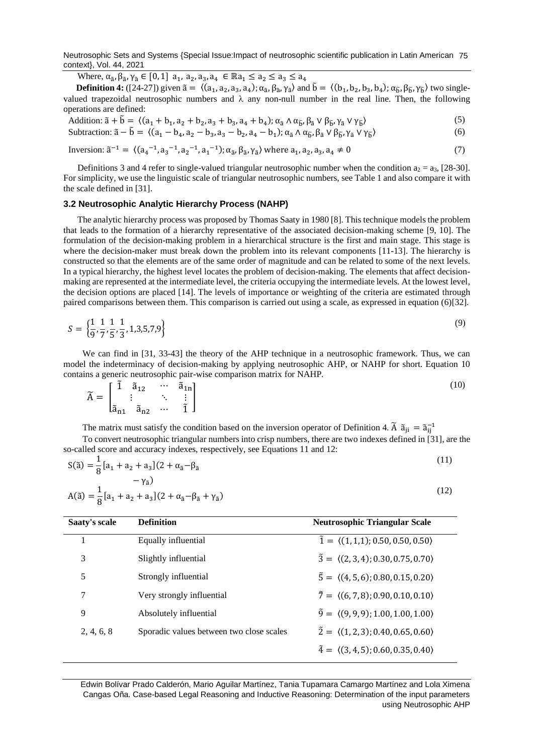Neutrosophic Sets and Systems {Special Issue:Impact of neutrosophic scientific publication in Latin American 75 context}, Vol. 44, 2021

Where,  $\alpha_{\tilde{a}}, \beta_{\tilde{a}}, \gamma_{\tilde{a}} \in [0, 1]$  a<sub>1</sub>, a<sub>2</sub>, a<sub>3</sub>, a<sub>4</sub>  $\in \mathbb{R}$ a<sub>1</sub>  $\leq a_2 \leq a_3 \leq a_4$ 

**Definition 4:** ([\[24-27\]](#page-9-7)) given  $\tilde{a} = \langle (a_1, a_2, a_3, a_4); \alpha_{\tilde{a}}, \beta_{\tilde{a}}, \gamma_{\tilde{a}} \rangle$  and  $\tilde{b} = \langle (b_1, b_2, b_3, b_4); \alpha_{\tilde{b}}, \beta_{\tilde{b}}, \gamma_{\tilde{b}} \rangle$  two singlevalued trapezoidal neutrosophic numbers and  $\lambda$  any non-null number in the real line. Then, the following operations are defined:

Addition: 
$$
\tilde{a} + \tilde{b} = \langle (a_1 + b_1, a_2 + b_2, a_3 + b_3, a_4 + b_4); \alpha_{\tilde{a}} \wedge \alpha_{\tilde{b}}, \beta_{\tilde{a}} \vee \beta_{\tilde{b}}, \gamma_{\tilde{a}} \vee \gamma_{\tilde{b}} \rangle
$$
 (5)

Subtraction:  $\tilde{a} - \tilde{b} = \langle (a_1 - b_4, a_2 - b_3, a_3 - b_2, a_4 - b_1) ; \alpha_{\tilde{a}} \wedge \alpha_{\tilde{b}}, \beta_{\tilde{a}} \vee \beta_{\tilde{b}}, \gamma_{\tilde{a}} \vee \gamma_{\tilde{b}} \rangle$  (6)

Inversion: 
$$
\tilde{a}^{-1} = \langle (a_4^{-1}, a_3^{-1}, a_2^{-1}, a_1^{-1}); \alpha_{\tilde{a}}, \beta_{\tilde{a}}, \gamma_{\tilde{a}} \rangle
$$
 where  $a_1, a_2, a_3, a_4 \neq 0$  (7)

Definitions 3 and 4 refer to single-valued triangular neutrosophic number when the condition  $a_2 = a_3$ , [\[28-30\]](#page-9-8). For simplicity, we use the linguistic scale of triangular neutrosophic numbers, see Table 1 and also compare it with the scale defined in [\[31\]](#page-10-0).

## **3.2 Neutrosophic Analytic Hierarchy Process (NAHP)**

The analytic hierarchy process was proposed by Thomas Saaty in 1980 [\[8\]](#page-9-4). This technique models the problem that leads to the formation of a hierarchy representative of the associated decision-making scheme [\[9,](#page-9-9) [10\]](#page-9-10). The formulation of the decision-making problem in a hierarchical structure is the first and main stage. This stage is where the decision-maker must break down the problem into its relevant components [\[11-13\]](#page-9-11). The hierarchy is constructed so that the elements are of the same order of magnitude and can be related to some of the next levels. In a typical hierarchy, the highest level locates the problem of decision-making. The elements that affect decisionmaking are represented at the intermediate level, the criteria occupying the intermediate levels. At the lowest level, the decision options are placed [\[14\]](#page-9-12). The levels of importance or weighting of the criteria are estimated through paired comparisons between them. This comparison is carried out using a scale, as expressed in equation (6)[\[32\]](#page-10-1).

$$
S = \left\{ \frac{1}{9}, \frac{1}{7}, \frac{1}{5}, \frac{1}{3}, 1, 3, 5, 7, 9 \right\}
$$
\n
$$
(9)
$$

We can find in [\[31,](#page-10-0) [33-43\]](#page-10-2) the theory of the AHP technique in a neutrosophic framework. Thus, we can model the indeterminacy of decision-making by applying neutrosophic AHP, or NAHP for short. Equation 10 contains a generic neutrosophic pair-wise comparison matrix for NAHP.

(10)

|     |                  | $\tilde{a}_{12}$ |                     | $\tilde{a}_{1n}$ ] |
|-----|------------------|------------------|---------------------|--------------------|
| $=$ |                  |                  |                     | ٠                  |
|     | lã <sub>n1</sub> | $\tilde{a}_{n2}$ | $\cdot \cdot \cdot$ |                    |

The matrix must satisfy the condition based on the inversion operator of Definition 4.  $\tilde{A}$   $\tilde{a}_{ji} = \tilde{a}_{ij}^{-1}$ To convert neutrosophic triangular numbers into crisp numbers, there are two indexes defined in [\[31\]](#page-10-0), are the so-called score and accuracy indexes, respectively, see Equations 11 and 12:

$$
S(\tilde{a}) = \frac{1}{8} [a_1 + a_2 + a_3] (2 + \alpha_{\tilde{a}} - \beta_{\tilde{a}} - \gamma_{\tilde{a}}) A(\tilde{a}) = \frac{1}{8} [a_1 + a_2 + a_3] (2 + \alpha_{\tilde{a}} - \beta_{\tilde{a}} + \gamma_{\tilde{a}})
$$
(12)

| Saaty's scale | <b>Definition</b>                        | <b>Neutrosophic Triangular Scale</b>                      |
|---------------|------------------------------------------|-----------------------------------------------------------|
|               | Equally influential                      | $\tilde{1} = \langle (1,1,1); 0.50, 0.50, 0.50 \rangle$   |
| 3             | Slightly influential                     | $\tilde{3} = \langle (2,3,4); 0.30, 0.75, 0.70 \rangle$   |
| 5             | Strongly influential                     | $\tilde{5} = \langle (4, 5, 6); 0.80, 0.15, 0.20 \rangle$ |
| 7             | Very strongly influential                | $\tilde{7} = \langle (6, 7, 8); 0.90, 0.10, 0.10 \rangle$ |
| 9             | Absolutely influential                   | $\tilde{9} = \langle (9, 9, 9); 1.00, 1.00, 1.00 \rangle$ |
| 2, 4, 6, 8    | Sporadic values between two close scales | $\tilde{2} = \langle (1, 2, 3); 0.40, 0.65, 0.60 \rangle$ |
|               |                                          | $\tilde{4} = \langle (3, 4, 5); 0.60, 0.35, 0.40 \rangle$ |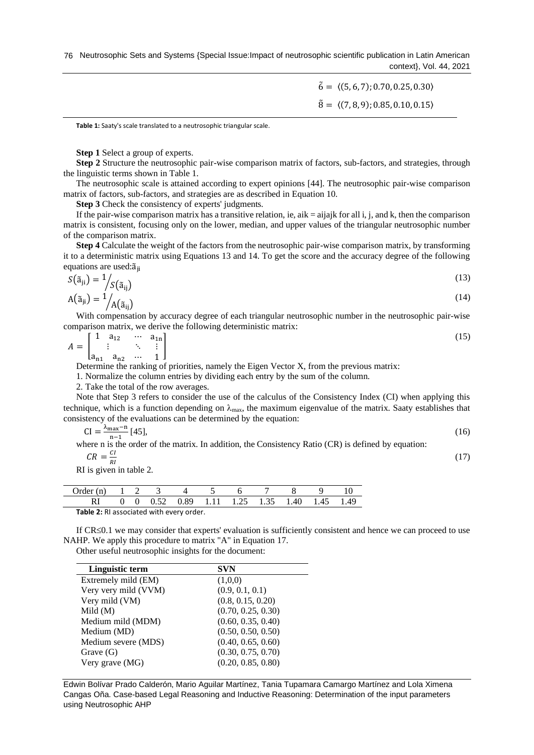76 Neutrosophic Sets and Systems {Special Issue:Impact of neutrosophic scientific publication in Latin American context}, Vol. 44, 2021

> $\tilde{6} = \langle (5, 6, 7); 0.70, 0.25, 0.30 \rangle$  $\tilde{8} = \langle (7, 8, 9); 0.85, 0.10, 0.15 \rangle$

> > (17)

**Table 1:** Saaty's scale translated to a neutrosophic triangular scale.

**Step 1** Select a group of experts.

**Step 2** Structure the neutrosophic pair-wise comparison matrix of factors, sub-factors, and strategies, through the linguistic terms shown in Table 1.

The neutrosophic scale is attained according to expert opinions [\[44\]](#page-10-3). The neutrosophic pair-wise comparison matrix of factors, sub-factors, and strategies are as described in Equation 10.

**Step 3** Check the consistency of experts' judgments.

If the pair-wise comparison matrix has a transitive relation, ie, aik  $=$  aijajk for all i, j, and k, then the comparison matrix is consistent, focusing only on the lower, median, and upper values of the triangular neutrosophic number of the comparison matrix.

**Step 4** Calculate the weight of the factors from the neutrosophic pair-wise comparison matrix, by transforming it to a deterministic matrix using Equations 13 and 14. To get the score and the accuracy degree of the following equations are used: $\tilde{a}_{ii}$ 

$$
S(\tilde{a}_{ji}) = \frac{1}{S(\tilde{a}_{ij})}
$$
  
\n
$$
A(\tilde{a}_{ji}) = \frac{1}{A(\tilde{a}_{ij})}
$$
\n(13)

With compensation by accuracy degree of each triangular neutrosophic number in the neutrosophic pair-wise comparison matrix, we derive the following deterministic matrix:

$$
A = \begin{bmatrix} 1 & a_{12} & \cdots & a_{1n} \\ \vdots & \ddots & \vdots \\ a_{n1} & a_{n2} & \cdots & 1 \end{bmatrix}
$$
 (15)

Determine the ranking of priorities, namely the Eigen Vector X, from the previous matrix:

1. Normalize the column entries by dividing each entry by the sum of the column.

2. Take the total of the row averages.

Note that Step 3 refers to consider the use of the calculus of the Consistency Index (CI) when applying this technique, which is a function depending on  $\lambda_{\text{max}}$ , the maximum eigenvalue of the matrix. Saaty establishes that consistency of the evaluations can be determined by the equation:

$$
CI = \frac{\lambda_{\text{max}} - n}{n - 1} [45],\tag{16}
$$

where n is the order of the matrix. In addition, the Consistency Ratio (CR) is defined by equation:

$$
CR = \frac{CI}{PL}
$$

 $\mathbf{r}$ 

 $CR = \frac{C}{RI}$ <br>RI is given in table 2.

| Order (n) $1 \t2 \t3$                   |  |  |  |  |  |                                                                          |  |  |  |
|-----------------------------------------|--|--|--|--|--|--------------------------------------------------------------------------|--|--|--|
|                                         |  |  |  |  |  | $0 \t 0 \t 0.52 \t 0.89 \t 1.11 \t 1.25 \t 1.35 \t 1.40 \t 1.45 \t 1.49$ |  |  |  |
| Table 2: BL associated with eveny arder |  |  |  |  |  |                                                                          |  |  |  |

**Table 2:** RI associated with every order.

If  $CR \leq 0.1$  we may consider that experts' evaluation is sufficiently consistent and hence we can proceed to use NAHP. We apply this procedure to matrix "A" in Equation 17.

Other useful neutrosophic insights for the document:

| <b>SVN</b>         |
|--------------------|
| (1,0,0)            |
| (0.9, 0.1, 0.1)    |
| (0.8, 0.15, 0.20)  |
| (0.70, 0.25, 0.30) |
| (0.60, 0.35, 0.40) |
| (0.50, 0.50, 0.50) |
| (0.40, 0.65, 0.60) |
| (0.30, 0.75, 0.70) |
| (0.20, 0.85, 0.80) |
|                    |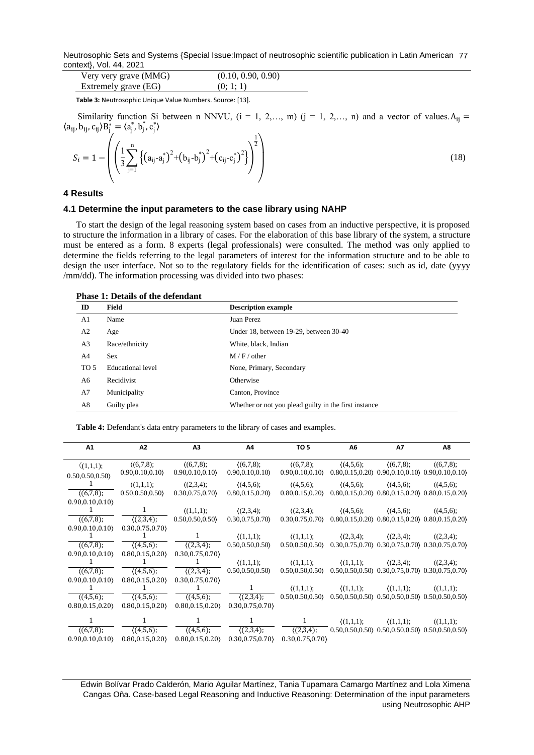Neutrosophic Sets and Systems {Special Issue:Impact of neutrosophic scientific publication in Latin American 77 context}, Vol. 44, 2021

| Very very grave (MMG) | (0.10, 0.90, 0.90) |
|-----------------------|--------------------|
| Extremely grave (EG)  | (0; 1; 1)          |

**Table 3:** Neutrosophic Unique Value Numbers. Source: [\[13\]](#page-9-13).

Similarity function Si between n NNVU,  $(i = 1, 2,..., m)$   $(j = 1, 2,..., n)$  and a vector of values.  $A_{ij} =$  $\langle a_{ij}, b_{ij}, c_{ij} \rangle B_j^* = \langle a_j^*, b_j^*, c_j^* \rangle$  $\mathcal{L}_{\mathbf{r}}$ 

$$
S_{i} = 1 - \left( \left( \frac{1}{3} \sum_{j=1}^{n} \left\{ \left( a_{ij} - a_{j}^{*} \right)^{2} + \left( b_{ij} - b_{j}^{*} \right)^{2} + \left( c_{ij} - c_{j}^{*} \right)^{2} \right\} \right)^{\frac{1}{2}} \right)
$$
(18)

#### **4 Results**

## **4.1 Determine the input parameters to the case library using NAHP**

To start the design of the legal reasoning system based on cases from an inductive perspective, it is proposed to structure the information in a library of cases. For the elaboration of this base library of the system, a structure must be entered as a form. 8 experts (legal professionals) were consulted. The method was only applied to determine the fields referring to the legal parameters of interest for the information structure and to be able to design the user interface. Not so to the regulatory fields for the identification of cases: such as id, date (yyyy /mm/dd). The information processing was divided into two phases:

| <b>Phase 1: Details of the defendant</b> |  |
|------------------------------------------|--|
|                                          |  |

| ID             | Field             | <b>Description example</b>                            |
|----------------|-------------------|-------------------------------------------------------|
| A <sub>1</sub> | Name              | Juan Perez                                            |
| A <sub>2</sub> | Age               | Under 18, between 19-29, between 30-40                |
| A <sub>3</sub> | Race/ethnicity    | White, black, Indian                                  |
| A4             | <b>Sex</b>        | M/F/other                                             |
| TO 5           | Educational level | None, Primary, Secondary                              |
| A6             | Recidivist        | Otherwise                                             |
| A7             | Municipality      | Canton, Province                                      |
| A8             | Guilty plea       | Whether or not you plead guilty in the first instance |

**Table 4:** Defendant's data entry parameters to the library of cases and examples.

| A1                 | A2               | A <sub>3</sub>     | Λ4                                    | TO <sub>5</sub>                                                             | Α6                                                       | A7                 | Α8                                                       |
|--------------------|------------------|--------------------|---------------------------------------|-----------------------------------------------------------------------------|----------------------------------------------------------|--------------------|----------------------------------------------------------|
| $\langle (1,1,1);$ | ((6,7,8);        | (6,7,8);           | (6,7,8);                              | ((6,7,8);                                                                   | (4,5,6);                                                 | (6,7,8);           | ((6,7,8);                                                |
| 0.50, 0.50, 0.50   | 0.90, 0.10, 0.10 | 0.90, 0.10, 0.10   | 0.90, 0.10, 0.10                      | 0.90, 0.10, 0.10                                                            | $0.80, 0.15, 0.20$ $0.90, 0.10, 0.10$ $0.90, 0.10, 0.10$ |                    |                                                          |
| 1                  | (1,1,1);         | (2,3,4);           | (4,5,6);                              | (4,5,6);                                                                    | $((4,5,6);$ $((4,5,6);$                                  |                    | (4,5,6);                                                 |
| ((6,7,8);          | 0.50, 0.50, 0.50 | 0.30, 0.75, 0.70   | 0.80, 0.15, 0.20                      | $0.80, 0.15, 0.20$ $0.80, 0.15, 0.20$ $0.80, 0.15, 0.20$ $0.80, 0.15, 0.20$ |                                                          |                    |                                                          |
| 0.90, 0.10, 0.10   |                  |                    |                                       |                                                                             |                                                          |                    |                                                          |
|                    |                  | (1,1,1);           | (2,3,4);                              | $((2,3,4);$ $((4,5,6);$ $((4,5,6);$                                         |                                                          |                    | (4,5,6);                                                 |
| ((6,7,8);          | (2,3,4);         | 0.50, 0.50, 0.50   | 0.30, 0.75, 0.70                      | $0.30, 0.75, 0.70$ $0.80, 0.15, 0.20$ $0.80, 0.15, 0.20$ $0.80, 0.15, 0.20$ |                                                          |                    |                                                          |
| 0.90, 0.10, 0.10   | 0.30, 0.75, 0.70 |                    |                                       |                                                                             |                                                          |                    |                                                          |
|                    |                  | 1                  | (1,1,1);                              | $\langle (1,1,1); \quad \langle (2,3,4); \rangle$                           |                                                          | (2,3,4);           | (2,3,4);                                                 |
| (6,7,8);           | (4,5,6);         | ((2,3,4);          | 0.50, 0.50, 0.50                      | $0.50, 0.50, 0.50$ $0.30, 0.75, 0.70$ $0.30, 0.75, 0.70$ $0.30, 0.75, 0.70$ |                                                          |                    |                                                          |
| 0.90.0.10.0.10     | 0.80, 0.15, 0.20 | 0.30, 0.75, 0.70   |                                       |                                                                             |                                                          |                    |                                                          |
|                    |                  | 1                  | (1,1,1);                              |                                                                             | $\langle (1,1,1); \quad \langle (1,1,1); \rangle$        | (2,3,4);           | (2,3,4);                                                 |
| (6,7,8);           | (4,5,6);         | (2,3,4);           | 0.50, 0.50, 0.50                      | $0.50, 0.50, 0.50$ $0.50, 0.50, 0.50$ $0.30, 0.75, 0.70$ $0.30, 0.75, 0.70$ |                                                          |                    |                                                          |
| 0.90, 0.10, 0.10   | 0.80, 0.15, 0.20 | 0.30, 0.75, 0.70   |                                       |                                                                             |                                                          |                    |                                                          |
|                    |                  |                    | 1                                     |                                                                             | $\langle (1,1,1); \quad \langle (1,1,1); \rangle$        | $((1,1,1))$ ;      | $\langle (1,1,1);$                                       |
| (4,5,6);           | (4,5,6);         | (4,5,6);           | ((2,3,4);                             | $0.50, 0.50, 0.50$ $0.50, 0.50, 0.50, 0.50, 0.50, 0.50, 0.50, 0.50, 0.50$   |                                                          |                    |                                                          |
| 0.80, 0.15, 0.20   | 0.80, 0.15, 0.20 | 0.80, 0.15, 0.20   | 0.30, 0.75, 0.70                      |                                                                             |                                                          |                    |                                                          |
|                    |                  |                    |                                       | 1                                                                           | $((1,1,1))$ ;                                            | $\langle (1,1,1);$ | $\langle (1,1,1);$                                       |
| ((6,7,8);          | (4,5,6);         | $\sqrt{(4,5,6)}$ ; | (2,3,4);                              | (2,3,4);                                                                    |                                                          |                    | $0.50, 0.50, 0.50$ $0.50, 0.50, 0.50$ $0.50, 0.50, 0.50$ |
| 0.90, 0.10, 0.10   | 0.80, 0.15, 0.20 |                    | $0.80, 0.15, 0.20$ $0.30, 0.75, 0.70$ | 0.30, 0.75, 0.70                                                            |                                                          |                    |                                                          |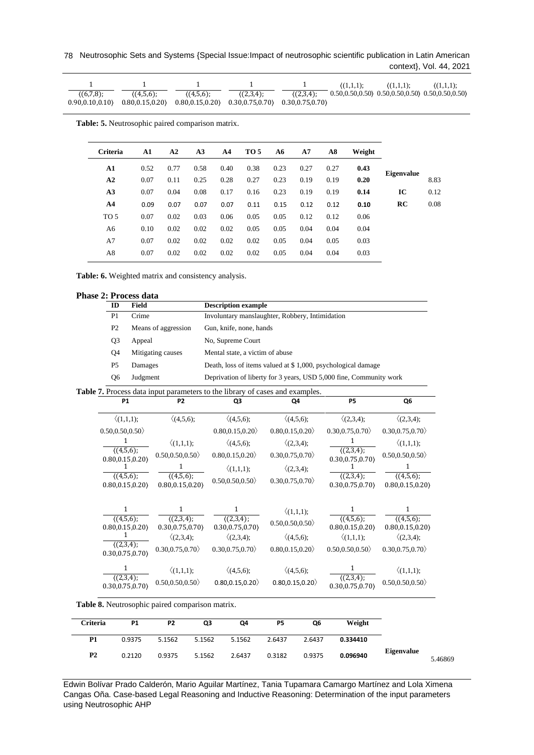78 Neutrosophic Sets and Systems {Special Issue:Impact of neutrosophic scientific publication in Latin American context}, Vol. 44, 2021

|                |                                                                             |             |             |             | $(1.1.1)$ : | $(1,1,1)$ : | (1,1,1);                                                 |
|----------------|-----------------------------------------------------------------------------|-------------|-------------|-------------|-------------|-------------|----------------------------------------------------------|
| $(6,7,8)$ ;    | $(4,5,6)$ ;                                                                 | $(4,5,6)$ ; | $(2,3,4)$ : | $(2,3,4)$ ; |             |             | $0.50, 0.50, 0.50$ $0.50, 0.50, 0.50$ $0.50, 0.50, 0.50$ |
| 0.90.0.10.0.10 | $0.80, 0.15, 0.20$ $0.80, 0.15, 0.20$ $0.30, 0.75, 0.70$ $0.30, 0.75, 0.70$ |             |             |             |             |             |                                                          |

**Table: 5.** Neutrosophic paired comparison matrix.

| <b>Criteria</b> | A1   | A2   | A <sub>3</sub> | A <sub>4</sub> | TO 5 | A6   | A7   | A8   | Weight |                   |      |
|-----------------|------|------|----------------|----------------|------|------|------|------|--------|-------------------|------|
| A1              | 0.52 | 0.77 | 0.58           | 0.40           | 0.38 | 0.23 | 0.27 | 0.27 | 0.43   | <b>Eigenvalue</b> |      |
| A2              | 0.07 | 0.11 | 0.25           | 0.28           | 0.27 | 0.23 | 0.19 | 0.19 | 0.20   |                   | 8.83 |
| A3              | 0.07 | 0.04 | 0.08           | 0.17           | 0.16 | 0.23 | 0.19 | 0.19 | 0.14   | IC                | 0.12 |
| A <sub>4</sub>  | 0.09 | 0.07 | 0.07           | 0.07           | 0.11 | 0.15 | 0.12 | 0.12 | 0.10   | <b>RC</b>         | 0.08 |
| TO 5            | 0.07 | 0.02 | 0.03           | 0.06           | 0.05 | 0.05 | 0.12 | 0.12 | 0.06   |                   |      |
| A6              | 0.10 | 0.02 | 0.02           | 0.02           | 0.05 | 0.05 | 0.04 | 0.04 | 0.04   |                   |      |
| A7              | 0.07 | 0.02 | 0.02           | 0.02           | 0.02 | 0.05 | 0.04 | 0.05 | 0.03   |                   |      |
| A8              | 0.07 | 0.02 | 0.02           | 0.02           | 0.02 | 0.05 | 0.04 | 0.04 | 0.03   |                   |      |
|                 |      |      |                |                |      |      |      |      |        |                   |      |

**Table: 6.** Weighted matrix and consistency analysis.

|  |  | <b>Phase 2: Process data</b> |  |
|--|--|------------------------------|--|
|--|--|------------------------------|--|

| ID                           | <b>Field</b> |                              | <b>Description example</b>                                                          |                    |                              |                              |  |  |  |
|------------------------------|--------------|------------------------------|-------------------------------------------------------------------------------------|--------------------|------------------------------|------------------------------|--|--|--|
| P <sub>1</sub>               | Crime        |                              | Involuntary manslaughter, Robbery, Intimidation                                     |                    |                              |                              |  |  |  |
| P2                           |              | Means of aggression          | Gun, knife, none, hands                                                             |                    |                              |                              |  |  |  |
| Q <sub>3</sub>               | Appeal       |                              | No, Supreme Court                                                                   |                    |                              |                              |  |  |  |
| Q <sub>4</sub>               |              | Mitigating causes            | Mental state, a victim of abuse                                                     |                    |                              |                              |  |  |  |
| P <sub>5</sub>               | Damages      |                              | Death, loss of items valued at \$1,000, psychological damage                        |                    |                              |                              |  |  |  |
| Q <sub>6</sub>               | Judgment     |                              | Deprivation of liberty for 3 years, USD 5,000 fine, Community work                  |                    |                              |                              |  |  |  |
|                              |              |                              | <b>Table 7.</b> Process data input parameters to the library of cases and examples. |                    |                              |                              |  |  |  |
| <b>P1</b>                    |              | P <sub>2</sub>               | Q3                                                                                  | Q4                 | <b>P5</b>                    | Q6                           |  |  |  |
| $\langle (1,1,1);$           |              | $\langle (4,5,6);$           | $\langle (4,5,6);$                                                                  | $\langle (4,5,6);$ | $\langle (2,3,4);$           | $\langle (2,3,4);$           |  |  |  |
| 0.50, 0.50, 0.50             |              |                              | 0.80, 0.15, 0.20                                                                    | 0.80, 0.15, 0.20   | 0.30, 0.75, 0.70             | 0.30, 0.75, 0.70             |  |  |  |
| 1                            |              | $\langle (1,1,1);$           | $\langle (4,5,6);$                                                                  | $\langle (2,3,4);$ | 1                            | $\langle (1,1,1);$           |  |  |  |
| (4,5,6);<br>0.80, 0.15, 0.20 |              | 0.50, 0.50, 0.50             | 0.80, 0.15, 0.20                                                                    | 0.30, 0.75, 0.70   | (2,3,4);<br>0.30, 0.75, 0.70 | 0.50, 0.50, 0.50             |  |  |  |
|                              |              | 1                            | $\langle (1,1,1);$                                                                  | $\langle (2,3,4);$ |                              | 1                            |  |  |  |
| (4,5,6);<br>0.80, 0.15, 0.20 |              | (4,5,6);<br>0.80, 0.15, 0.20 | 0.50, 0.50, 0.50                                                                    | 0.30, 0.75, 0.70   | (2,3,4);<br>0.30, 0.75, 0.70 | (4,5,6);<br>0.80, 0.15, 0.20 |  |  |  |
| $\mathbf{1}$                 |              | 1                            | 1                                                                                   |                    | 1                            | 1                            |  |  |  |
| (4.5.6)                      |              | (2,3,4);                     | (2,3,4);                                                                            | $\langle (1,1,1);$ | (4,5,6);                     | $(4.5.6)$ ;                  |  |  |  |
| 0.80, 0.15, 0.20             |              | 0.30, 0.75, 0.70             | 0.30, 0.75, 0.70                                                                    | 0.50, 0.50, 0.50   | 0.80, 0.15, 0.20             | 0.80, 0.15, 0.20             |  |  |  |
| 1<br>(2,3,4);                |              | $\langle (2,3,4);$           | $\langle (2,3,4);$                                                                  | $\langle (4,5,6);$ | $\langle (1,1,1);$           | $\langle (2,3,4);$           |  |  |  |
| 0.30, 0.75, 0.70             |              | 0.30, 0.75, 0.70             | 0.30, 0.75, 0.70                                                                    | 0.80, 0.15, 0.20   | 0.50, 0.50, 0.50             | 0.30, 0.75, 0.70             |  |  |  |
| $\mathbf{1}$                 |              | $\langle (1,1,1);$           | $\langle (4,5,6);$                                                                  | $\langle (4,5,6);$ | 1                            | $\langle (1,1,1);$           |  |  |  |
| (2,3,4);<br>0.30, 0.75, 0.70 |              | 0.50, 0.50, 0.50             | 0.80, 0.15, 0.20                                                                    | 0.80, 0.15, 0.20   | (2,3,4);<br>0.30, 0.75, 0.70 | 0.50, 0.50, 0.50             |  |  |  |

**Table 8.** Neutrosophic paired comparison matrix.

|                              | Weight   | Q6     | P <sub>5</sub> | Q4     | Q3     | P <sub>2</sub> | <b>P1</b> | Criteria  |
|------------------------------|----------|--------|----------------|--------|--------|----------------|-----------|-----------|
|                              | 0.334410 | 2.6437 | 2.6437         | 5.1562 | 5.1562 | 5.1562         | 0.9375    | P1        |
| <b>Eigenvalue</b><br>5.46869 | 0.096940 | 0.9375 | 0.3182         | 2.6437 | 5.1562 | 0.9375         | 0.2120    | <b>P2</b> |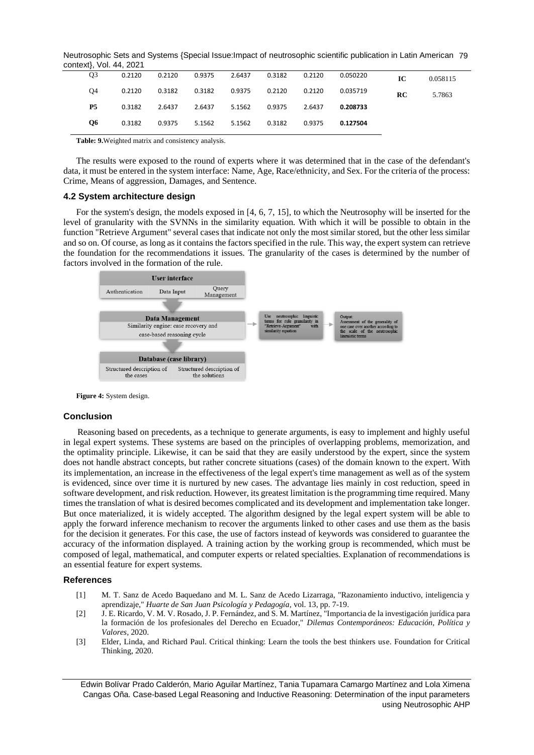Neutrosophic Sets and Systems {Special Issue:Impact of neutrosophic scientific publication in Latin American 79 context}, Vol. 44, 2021

| 0.058115 | IC | 0.050220 |        | 0.9375  2.6437  0.3182  0.2120         | 0.2120 | 0.2120 | O <sub>3</sub> |
|----------|----|----------|--------|----------------------------------------|--------|--------|----------------|
| 5.7863   | RC | 0.035719 |        | 0.3182  0.3182  0.9375  0.2120  0.2120 |        | 0.2120 | O4             |
|          |    | 0.208733 |        | 2.6437 5.1562 0.9375 2.6437            | 2.6437 | 0.3182 | <b>P5</b>      |
|          |    | 0.127504 | 0.9375 | 5.1562 5.1562 0.3182                   | 0.9375 | 0.3182 | <b>O6</b>      |
|          |    |          |        |                                        |        |        |                |

**Table: 9.**Weighted matrix and consistency analysis.

The results were exposed to the round of experts where it was determined that in the case of the defendant's data, it must be entered in the system interface: Name, Age, Race/ethnicity, and Sex. For the criteria of the process: Crime, Means of aggression, Damages, and Sentence.

## **4.2 System architecture design**

For the system's design, the models exposed in [\[4,](#page-9-0) [6,](#page-9-2) [7,](#page-9-3) [15\]](#page-9-5), to which the Neutrosophy will be inserted for the level of granularity with the SVNNs in the similarity equation. With which it will be possible to obtain in the function "Retrieve Argument" several cases that indicate not only the most similar stored, but the other less similar and so on. Of course, as long as it contains the factors specified in the rule. This way, the expert system can retrieve the foundation for the recommendations it issues. The granularity of the cases is determined by the number of factors involved in the formation of the rule.



**Figure 4:** System design.

#### **Conclusion**

Reasoning based on precedents, as a technique to generate arguments, is easy to implement and highly useful in legal expert systems. These systems are based on the principles of overlapping problems, memorization, and the optimality principle. Likewise, it can be said that they are easily understood by the expert, since the system does not handle abstract concepts, but rather concrete situations (cases) of the domain known to the expert. With its implementation, an increase in the effectiveness of the legal expert's time management as well as of the system is evidenced, since over time it is nurtured by new cases. The advantage lies mainly in cost reduction, speed in software development, and risk reduction. However, its greatest limitation is the programming time required. Many times the translation of what is desired becomes complicated and its development and implementation take longer. But once materialized, it is widely accepted. The algorithm designed by the legal expert system will be able to apply the forward inference mechanism to recover the arguments linked to other cases and use them as the basis for the decision it generates. For this case, the use of factors instead of keywords was considered to guarantee the accuracy of the information displayed. A training action by the working group is recommended, which must be composed of legal, mathematical, and computer experts or related specialties. Explanation of recommendations is an essential feature for expert systems.

#### **References**

- <span id="page-8-0"></span>[1] M. T. Sanz de Acedo Baquedano and M. L. Sanz de Acedo Lizarraga, "Razonamiento inductivo, inteligencia y aprendizaje," *Huarte de San Juan Psicología y Pedagogía,* vol. 13, pp. 7-19.
- <span id="page-8-1"></span>[2] J. E. Ricardo, V. M. V. Rosado, J. P. Fernández, and S. M. Martínez, "Importancia de la investigación jurídica para la formación de los profesionales del Derecho en Ecuador," *Dilemas Contemporáneos: Educación, Política y Valores,* 2020.
- <span id="page-8-2"></span>[3] Elder, Linda, and Richard Paul. Critical thinking: Learn the tools the best thinkers use. Foundation for Critical Thinking, 2020.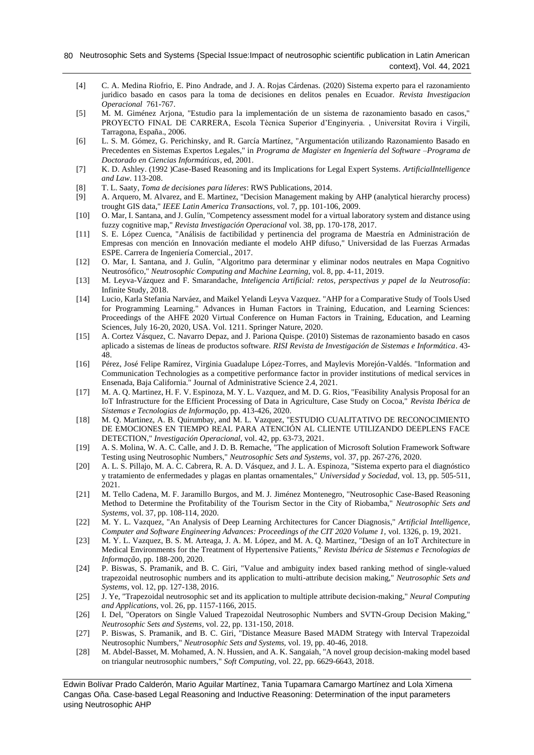- <span id="page-9-0"></span>[4] C. A. Medina Riofrio, E. Pino Andrade, and J. A. Rojas Cárdenas. (2020) Sistema experto para el razonamiento juridico basado en casos para la toma de decisiones en delitos penales en Ecuador. *Revista Investigacion Operacional* 761-767.
- <span id="page-9-1"></span>[5] M. M. Giménez Arjona, "Estudio para la implementación de un sistema de razonamiento basado en casos," PROYECTO FINAL DE CARRERA, Escola Tècnica Superior d'Enginyeria. , Universitat Rovira i Virgili, Tarragona, España., 2006.
- <span id="page-9-2"></span>[6] L. S. M. Gómez, G. Perichinsky, and R. García Martínez, "Argumentación utilizando Razonamiento Basado en Precedentes en Sistemas Expertos Legales," in *Programa de Magister en Ingeniería del Software –Programa de Doctorado en Ciencias Informáticas*, ed, 2001.
- <span id="page-9-3"></span>[7] K. D. Ashley. (1992 )Case-Based Reasoning and its Implications for Legal Expert Systems. *ArtificialIntelligence and Law*. 113-208.
- <span id="page-9-4"></span>[8] T. L. Saaty, *Toma de decisiones para líderes*: RWS Publications, 2014.
- <span id="page-9-9"></span>[9] A. Arquero, M. Alvarez, and E. Martinez, "Decision Management making by AHP (analytical hierarchy process) trought GIS data," *IEEE Latin America Transactions,* vol. 7, pp. 101-106, 2009.
- <span id="page-9-10"></span>[10] O. Mar, I. Santana, and J. Gulín, "Competency assessment model for a virtual laboratory system and distance using fuzzy cognitive map," *Revista Investigación Operacional* vol. 38, pp. 170-178, 2017.
- <span id="page-9-11"></span>[11] S. E. López Cuenca, "Análisis de factibilidad y pertinencia del programa de Maestría en Administración de Empresas con mención en Innovación mediante el modelo AHP difuso," Universidad de las Fuerzas Armadas ESPE. Carrera de Ingeniería Comercial., 2017.
- [12] O. Mar, I. Santana, and J. Gulín, "Algoritmo para determinar y eliminar nodos neutrales en Mapa Cognitivo Neutrosófico," *Neutrosophic Computing and Machine Learning,* vol. 8, pp. 4-11, 2019.
- <span id="page-9-13"></span>[13] M. Leyva-Vázquez and F. Smarandache, *Inteligencia Artificial: retos, perspectivas y papel de la Neutrosofía*: Infinite Study, 2018.
- <span id="page-9-12"></span>[14] Lucio, Karla Stefania Narváez, and Maikel Yelandi Leyva Vazquez. "AHP for a Comparative Study of Tools Used for Programming Learning." Advances in Human Factors in Training, Education, and Learning Sciences: Proceedings of the AHFE 2020 Virtual Conference on Human Factors in Training, Education, and Learning Sciences, July 16-20, 2020, USA. Vol. 1211. Springer Nature, 2020.
- <span id="page-9-5"></span>[15] A. Cortez Vásquez, C. Navarro Depaz, and J. Pariona Quispe. (2010) Sistemas de razonamiento basado en casos aplicado a sistemas de líneas de productos software. *RISI Revista de Investigación de Sistemas e Informática*. 43- 48.
- <span id="page-9-6"></span>[16] Pérez, José Felipe Ramírez, Virginia Guadalupe López-Torres, and Maylevis Morejón-Valdés. "Information and Communication Technologies as a competitive performance factor in provider institutions of medical services in Ensenada, Baja California." Journal of Administrative Science 2.4, 2021.
- [17] M. A. Q. Martinez, H. F. V. Espinoza, M. Y. L. Vazquez, and M. D. G. Rios, "Feasibility Analysis Proposal for an IoT Infrastructure for the Efficient Processing of Data in Agriculture, Case Study on Cocoa," *Revista Ibérica de Sistemas e Tecnologias de Informação,* pp. 413-426, 2020.
- [18] M. Q. Martinez, A. B. Quirumbay, and M. L. Vazquez, "ESTUDIO CUALITATIVO DE RECONOCIMIENTO DE EMOCIONES EN TIEMPO REAL PARA ATENCIÓN AL CLIENTE UTILIZANDO DEEPLENS FACE DETECTION," *Investigación Operacional,* vol. 42, pp. 63-73, 2021.
- [19] A. S. Molina, W. A. C. Calle, and J. D. B. Remache, "The application of Microsoft Solution Framework Software Testing using Neutrosophic Numbers," *Neutrosophic Sets and Systems,* vol. 37, pp. 267-276, 2020.
- [20] A. L. S. Pillajo, M. A. C. Cabrera, R. A. D. Vásquez, and J. L. A. Espinoza, "Sistema experto para el diagnóstico y tratamiento de enfermedades y plagas en plantas ornamentales," *Universidad y Sociedad,* vol. 13, pp. 505-511, 2021.
- [21] M. Tello Cadena, M. F. Jaramillo Burgos, and M. J. Jiménez Montenegro, "Neutrosophic Case-Based Reasoning Method to Determine the Profitability of the Tourism Sector in the City of Riobamba," *Neutrosophic Sets and Systems,* vol. 37, pp. 108-114, 2020.
- [22] M. Y. L. Vazquez, "An Analysis of Deep Learning Architectures for Cancer Diagnosis," *Artificial Intelligence, Computer and Software Engineering Advances: Proceedings of the CIT 2020 Volume 1,* vol. 1326, p. 19, 2021.
- [23] M. Y. L. Vazquez, B. S. M. Arteaga, J. A. M. López, and M. A. Q. Martinez, "Design of an IoT Architecture in Medical Environments for the Treatment of Hypertensive Patients," *Revista Ibérica de Sistemas e Tecnologias de Informação,* pp. 188-200, 2020.
- <span id="page-9-7"></span>[24] P. Biswas, S. Pramanik, and B. C. Giri, "Value and ambiguity index based ranking method of single-valued trapezoidal neutrosophic numbers and its application to multi-attribute decision making," *Neutrosophic Sets and Systems,* vol. 12, pp. 127-138, 2016.
- [25] J. Ye, "Trapezoidal neutrosophic set and its application to multiple attribute decision-making," *Neural Computing and Applications,* vol. 26, pp. 1157-1166, 2015.
- [26] I. Del, "Operators on Single Valued Trapezoidal Neutrosophic Numbers and SVTN-Group Decision Making," *Neutrosophic Sets and Systems,* vol. 22, pp. 131-150, 2018.
- [27] P. Biswas, S. Pramanik, and B. C. Giri, "Distance Measure Based MADM Strategy with Interval Trapezoidal Neutrosophic Numbers," *Neutrosophic Sets and Systems,* vol. 19, pp. 40-46, 2018.
- <span id="page-9-8"></span>[28] M. Abdel-Basset, M. Mohamed, A. N. Hussien, and A. K. Sangaiah, "A novel group decision-making model based on triangular neutrosophic numbers," *Soft Computing,* vol. 22, pp. 6629-6643, 2018.

Edwin Bolívar Prado Calderón, Mario Aguilar Martínez, Tania Tupamara Camargo Martínez and Lola Ximena Cangas Oña. Case-based Legal Reasoning and Inductive Reasoning: Determination of the input parameters using Neutrosophic AHP